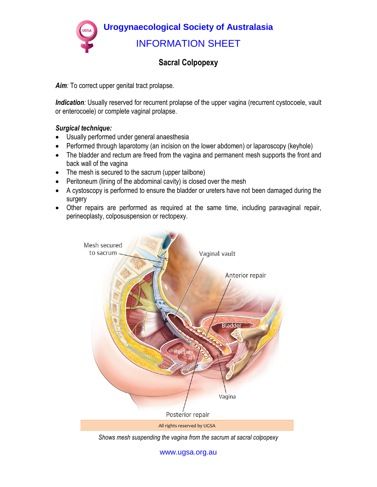**Urogynaecological Society of Australasia**  INFORMATION SHEET

## **Sacral Colpopexy**

*Aim:* To correct upper genital tract prolapse.

*Indication*: Usually reserved for recurrent prolapse of the upper vagina (recurrent cystocoele, vault or enterocoele) or complete vaginal prolapse.

## *Surgical technique:*

- Usually performed under general anaesthesia
- Performed through laparotomy (an incision on the lower abdomen) or laparoscopy (keyhole)
- The bladder and rectum are freed from the vagina and permanent mesh supports the front and back wall of the vagina
- The mesh is secured to the sacrum (upper tailbone)
- Peritoneum (lining of the abdominal cavity) is closed over the mesh
- A cystoscopy is performed to ensure the bladder or ureters have not been damaged during the surgery
- Other repairs are performed as required at the same time, including paravaginal repair, perineoplasty, colposuspension or rectopexy.



*Shows mesh suspending the vagina from the sacrum at sacral colpopexy* 

www.ugsa.org.au